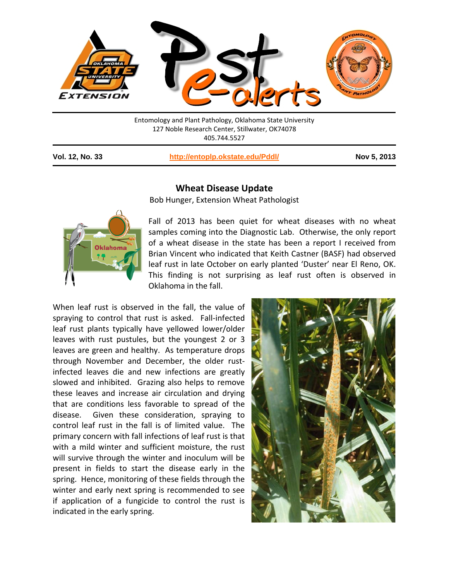

Entomology and Plant Pathology, Oklahoma State University 127 Noble Research Center, Stillwater, OK74078 405.744.5527

**Vol. 12, No. 33 <http://entoplp.okstate.edu/Pddl/> Nov 5, 2013**



## **Wheat Disease Update**

Bob Hunger, Extension Wheat Pathologist

Fall of 2013 has been quiet for wheat diseases with no wheat samples coming into the Diagnostic Lab. Otherwise, the only report of a wheat disease in the state has been a report I received from Brian Vincent who indicated that Keith Castner (BASF) had observed leaf rust in late October on early planted 'Duster' near El Reno, OK. This finding is not surprising as leaf rust often is observed in Oklahoma in the fall.

When leaf rust is observed in the fall, the value of spraying to control that rust is asked. Fall-infected leaf rust plants typically have yellowed lower/older leaves with rust pustules, but the youngest 2 or 3 leaves are green and healthy. As temperature drops through November and December, the older rustinfected leaves die and new infections are greatly slowed and inhibited. Grazing also helps to remove these leaves and increase air circulation and drying that are conditions less favorable to spread of the disease. Given these consideration, spraying to control leaf rust in the fall is of limited value. The primary concern with fall infections of leaf rust is that with a mild winter and sufficient moisture, the rust will survive through the winter and inoculum will be present in fields to start the disease early in the spring. Hence, monitoring of these fields through the winter and early next spring is recommended to see if application of a fungicide to control the rust is indicated in the early spring.